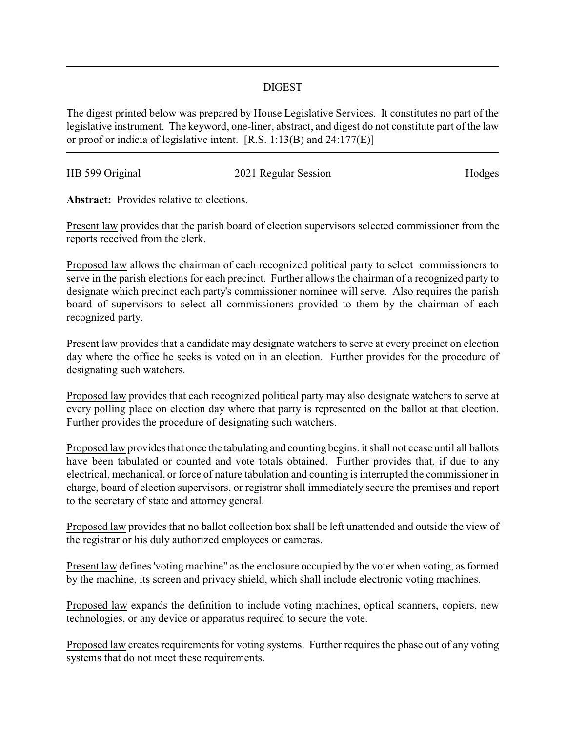## DIGEST

The digest printed below was prepared by House Legislative Services. It constitutes no part of the legislative instrument. The keyword, one-liner, abstract, and digest do not constitute part of the law or proof or indicia of legislative intent. [R.S. 1:13(B) and 24:177(E)]

| HB 599 Original | 2021 Regular Session | Hodges |
|-----------------|----------------------|--------|
|                 |                      |        |

**Abstract:** Provides relative to elections.

Present law provides that the parish board of election supervisors selected commissioner from the reports received from the clerk.

Proposed law allows the chairman of each recognized political party to select commissioners to serve in the parish elections for each precinct. Further allows the chairman of a recognized party to designate which precinct each party's commissioner nominee will serve. Also requires the parish board of supervisors to select all commissioners provided to them by the chairman of each recognized party.

Present law provides that a candidate may designate watchers to serve at every precinct on election day where the office he seeks is voted on in an election. Further provides for the procedure of designating such watchers.

Proposed law provides that each recognized political party may also designate watchers to serve at every polling place on election day where that party is represented on the ballot at that election. Further provides the procedure of designating such watchers.

Proposed law provides that once the tabulating and counting begins. it shall not cease until all ballots have been tabulated or counted and vote totals obtained. Further provides that, if due to any electrical, mechanical, or force of nature tabulation and counting is interrupted the commissioner in charge, board of election supervisors, or registrar shall immediately secure the premises and report to the secretary of state and attorney general.

Proposed law provides that no ballot collection box shall be left unattended and outside the view of the registrar or his duly authorized employees or cameras.

Present law defines 'voting machine" as the enclosure occupied by the voter when voting, as formed by the machine, its screen and privacy shield, which shall include electronic voting machines.

Proposed law expands the definition to include voting machines, optical scanners, copiers, new technologies, or any device or apparatus required to secure the vote.

Proposed law creates requirements for voting systems. Further requires the phase out of any voting systems that do not meet these requirements.